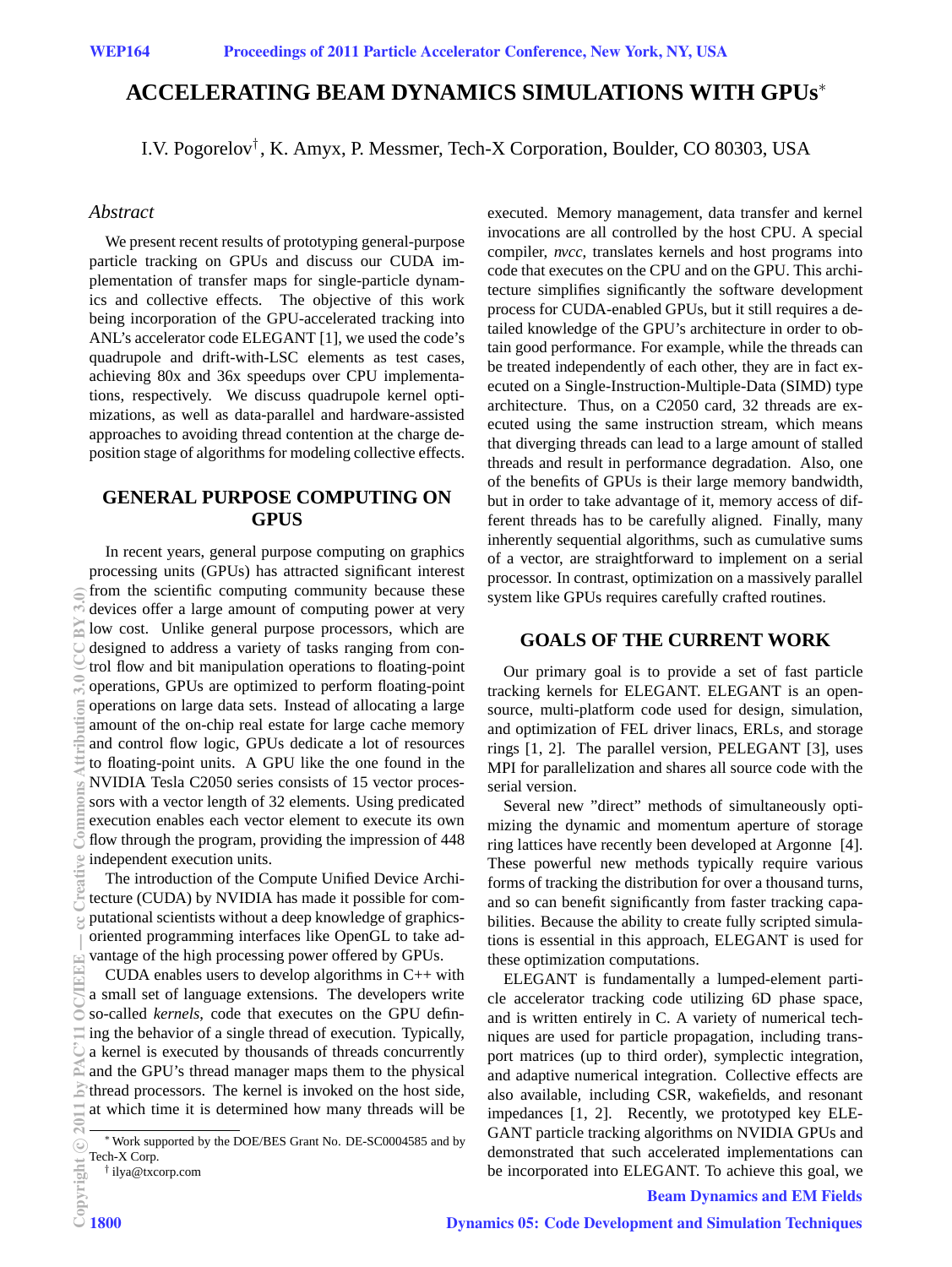# **ACCELERATING BEAM DYNAMICS SIMULATIONS WITH GPUs**<sup>∗</sup>

I.V. Pogorelov† , K. Amyx, P. Messmer, Tech-X Corporation, Boulder, CO 80303, USA

#### *Abstract*

We present recent results of prototyping general-purpose particle tracking on GPUs and discuss our CUDA implementation of transfer maps for single-particle dynamics and collective effects. The objective of this work being incorporation of the GPU-accelerated tracking into ANL's accelerator code ELEGANT [1], we used the code's quadrupole and drift-with-LSC elements as test cases, achieving 80x and 36x speedups over CPU implementations, respectively. We discuss quadrupole kernel optimizations, as well as data-parallel and hardware-assisted approaches to avoiding thread contention at the charge deposition stage of algorithms for modeling collective effects.

#### **GENERAL PURPOSE COMPUTING ON GPUS**

In recent years, general purpose computing on graphics processing units (GPUs) has attracted significant interest from the scientific computing community because these devices offer a large amount of computing power at very low cost. Unlike general purpose processors, which are designed to address a variety of tasks ranging from control flow and bit manipulation operations to floating-point operations, GPUs are optimized to perform floating-point operations on large data sets. Instead of allocating a large amount of the on-chip real estate for large cache memory and control flow logic, GPUs dedicate a lot of resources to floating-point units. A GPU like the one found in the NVIDIA Tesla C2050 series consists of 15 vector processors with a vector length of 32 elements. Using predicated execution enables each vector element to execute its own flow through the program, providing the impression of 448 independent execution units.

The introduction of the Compute Unified Device Architecture (CUDA) by NVIDIA has made it possible for computational scientists without a deep knowledge of graphicsoriented programming interfaces like OpenGL to take advantage of the high processing power offered by GPUs.

CUDA enables users to develop algorithms in C++ with a small set of language extensions. The developers write so-called *kernels*, code that executes on the GPU defining the behavior of a single thread of execution. Typically, a kernel is executed by thousands of threads concurrently and the GPU's thread manager maps them to the physical thread processors. The kernel is invoked on the host side, at which time it is determined how many threads will be executed. Memory management, data transfer and kernel invocations are all controlled by the host CPU. A special compiler, *nvcc*, translates kernels and host programs into code that executes on the CPU and on the GPU. This architecture simplifies significantly the software development process for CUDA-enabled GPUs, but it still requires a detailed knowledge of the GPU's architecture in order to obtain good performance. For example, while the threads can be treated independently of each other, they are in fact executed on a Single-Instruction-Multiple-Data (SIMD) type architecture. Thus, on a C2050 card, 32 threads are executed using the same instruction stream, which means that diverging threads can lead to a large amount of stalled threads and result in performance degradation. Also, one of the benefits of GPUs is their large memory bandwidth, but in order to take advantage of it, memory access of different threads has to be carefully aligned. Finally, many inherently sequential algorithms, such as cumulative sums of a vector, are straightforward to implement on a serial processor. In contrast, optimization on a massively parallel system like GPUs requires carefully crafted routines.

#### **GOALS OF THE CURRENT WORK**

Our primary goal is to provide a set of fast particle tracking kernels for ELEGANT. ELEGANT is an opensource, multi-platform code used for design, simulation, and optimization of FEL driver linacs, ERLs, and storage rings [1, 2]. The parallel version, PELEGANT [3], uses MPI for parallelization and shares all source code with the serial version.

Several new "direct" methods of simultaneously optimizing the dynamic and momentum aperture of storage ring lattices have recently been developed at Argonne [4]. These powerful new methods typically require various forms of tracking the distribution for over a thousand turns, and so can benefit significantly from faster tracking capabilities. Because the ability to create fully scripted simulations is essential in this approach, ELEGANT is used for these optimization computations.

ELEGANT is fundamentally a lumped-element particle accelerator tracking code utilizing 6D phase space, and is written entirely in C. A variety of numerical techniques are used for particle propagation, including transport matrices (up to third order), symplectic integration, and adaptive numerical integration. Collective effects are also available, including CSR, wakefields, and resonant impedances [1, 2]. Recently, we prototyped key ELE-GANT particle tracking algorithms on NVIDIA GPUs and demonstrated that such accelerated implementations can be incorporated into ELEGANT. To achieve this goal, we

### Beam Dynamics and EM Fields

a

E

<sup>∗</sup>Work supported by the DOE/BES Grant No. DE-SC0004585 and by Tech-X Corp.

<sup>†</sup> ilya@txcorp.com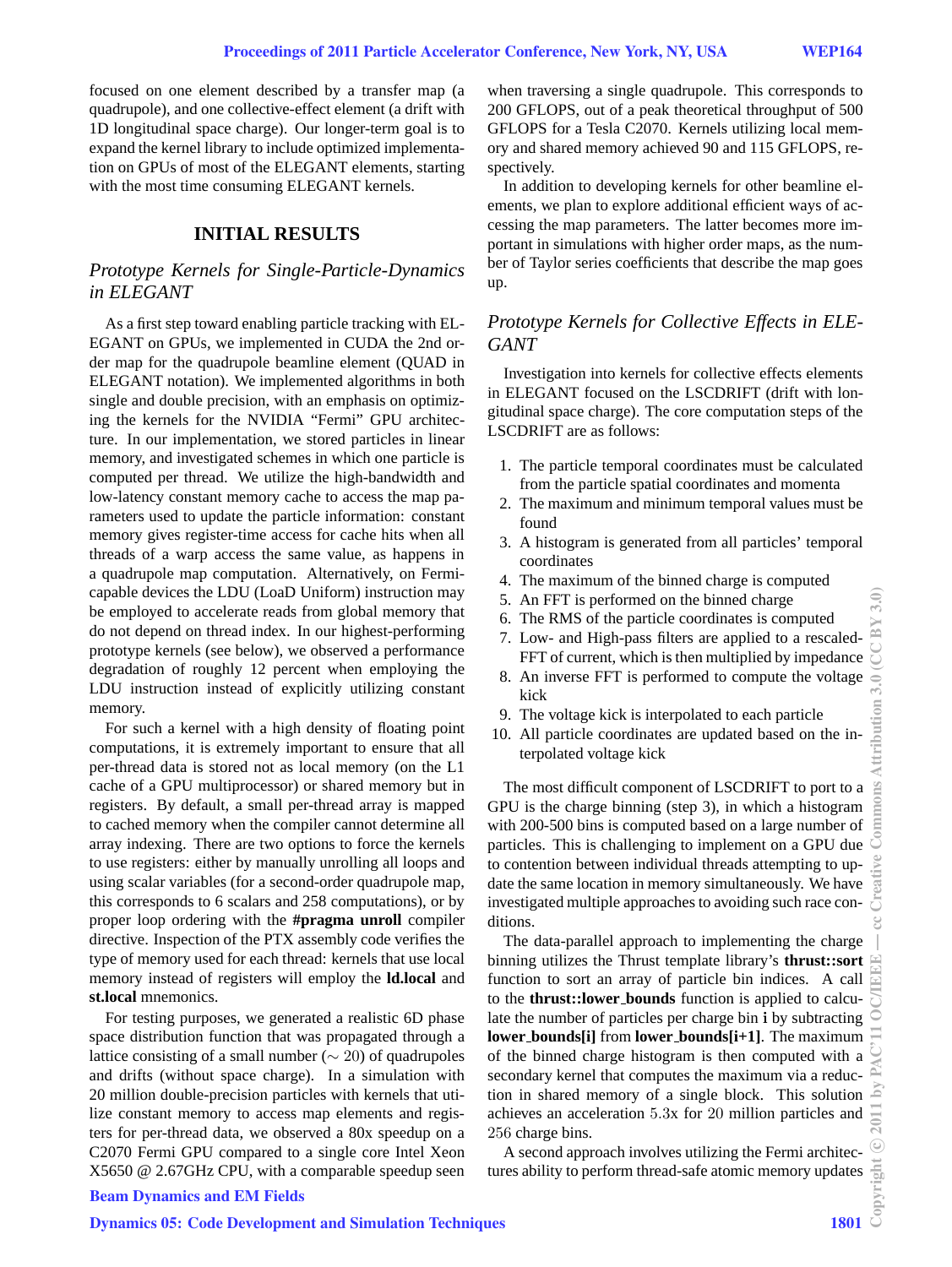focused on one element described by a transfer map (a quadrupole), and one collective-effect element (a drift with 1D longitudinal space charge). Our longer-term goal is to expand the kernel library to include optimized implementation on GPUs of most of the ELEGANT elements, starting with the most time consuming ELEGANT kernels.

### **INITIAL RESULTS**

### *Prototype Kernels for Single-Particle-Dynamics in ELEGANT*

As a first step toward enabling particle tracking with EL-EGANT on GPUs, we implemented in CUDA the 2nd order map for the quadrupole beamline element (QUAD in ELEGANT notation). We implemented algorithms in both single and double precision, with an emphasis on optimizing the kernels for the NVIDIA "Fermi" GPU architecture. In our implementation, we stored particles in linear memory, and investigated schemes in which one particle is computed per thread. We utilize the high-bandwidth and low-latency constant memory cache to access the map parameters used to update the particle information: constant memory gives register-time access for cache hits when all threads of a warp access the same value, as happens in a quadrupole map computation. Alternatively, on Fermicapable devices the LDU (LoaD Uniform) instruction may be employed to accelerate reads from global memory that do not depend on thread index. In our highest-performing prototype kernels (see below), we observed a performance degradation of roughly 12 percent when employing the LDU instruction instead of explicitly utilizing constant memory.

For such a kernel with a high density of floating point computations, it is extremely important to ensure that all per-thread data is stored not as local memory (on the L1 cache of a GPU multiprocessor) or shared memory but in registers. By default, a small per-thread array is mapped to cached memory when the compiler cannot determine all array indexing. There are two options to force the kernels to use registers: either by manually unrolling all loops and using scalar variables (for a second-order quadrupole map, this corresponds to 6 scalars and 258 computations), or by proper loop ordering with the **#pragma unroll** compiler directive. Inspection of the PTX assembly code verifies the type of memory used for each thread: kernels that use local memory instead of registers will employ the **ld.local** and **st.local** mnemonics.

For testing purposes, we generated a realistic 6D phase space distribution function that was propagated through a lattice consisting of a small number ( $\sim$  20) of quadrupoles and drifts (without space charge). In a simulation with 20 million double-precision particles with kernels that utilize constant memory to access map elements and registers for per-thread data, we observed a 80x speedup on a C2070 Fermi GPU compared to a single core Intel Xeon X5650 @ 2.67GHz CPU, with a comparable speedup seen when traversing a single quadrupole. This corresponds to 200 GFLOPS, out of a peak theoretical throughput of 500 GFLOPS for a Tesla C2070. Kernels utilizing local memory and shared memory achieved 90 and 115 GFLOPS, respectively.

In addition to developing kernels for other beamline elements, we plan to explore additional efficient ways of accessing the map parameters. The latter becomes more important in simulations with higher order maps, as the number of Taylor series coefficients that describe the map goes up.

## *Prototype Kernels for Collective Effects in ELE-GANT*

Investigation into kernels for collective effects elements in ELEGANT focused on the LSCDRIFT (drift with longitudinal space charge). The core computation steps of the LSCDRIFT are as follows:

- 1. The particle temporal coordinates must be calculated from the particle spatial coordinates and momenta
- 2. The maximum and minimum temporal values must be found
- 3. A histogram is generated from all particles' temporal coordinates
- 4. The maximum of the binned charge is computed
- 5. An FFT is performed on the binned charge
- 6. The RMS of the particle coordinates is computed
- 7. Low- and High-pass filters are applied to a rescaled-FFT of current, which is then multiplied by impedance
- 8. An inverse FFT is performed to compute the voltage kick
- 9. The voltage kick is interpolated to each particle
- 10. All particle coordinates are updated based on the interpolated voltage kick

The most difficult component of LSCDRIFT to port to a GPU is the charge binning (step 3), in which a histogram with 200-500 bins is computed based on a large number of particles. This is challenging to implement on a GPU due to contention between individual threads attempting to update the same location in memory simultaneously. We have investigated multiple approaches to avoiding such race conditions.

The data-parallel approach to implementing the charge binning utilizes the Thrust template library's **thrust::sort** function to sort an array of particle bin indices. A call to the **thrust::lower bounds** function is applied to calculate the number of particles per charge bin **i** by subtracting **lower bounds[i]** from **lower bounds[i+1]**. The maximum of the binned charge histogram is then computed with a secondary kernel that computes the maximum via a reduction in shared memory of a single block. This solution achieves an acceleration 5.3x for 20 million particles and 256 charge bins.

A second approach involves utilizing the Fermi architectures ability to perform thread-safe atomic memory updates

### Beam Dynamics and EM Fields